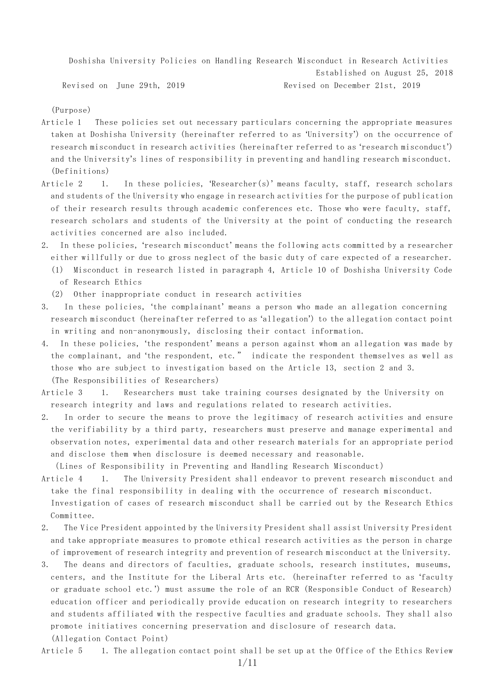Doshisha University Policies on Handling Research Misconduct in Research Activities Established on August 25, 2018 Revised on June 29th, 2019 Revised on December 21st, 2019

(Purpose)

- Article 1 These policies set out necessary particulars concerning the appropriate measures taken at Doshisha University (hereinafter referred to as 'University') on the occurrence of research misconduct in research activities (hereinafter referred to as 'research misconduct') and the University's lines of responsibility in preventing and handling research misconduct. (Definitions)
- Article 2 1. In these policies, 'Researcher(s)' means faculty, staff, research scholars and students of the University who engage in research activities for the purpose of publication of their research results through academic conferences etc. Those who were faculty, staff, research scholars and students of the University at the point of conducting the research activities concerned are also included.
- 2. In these policies, 'research misconduct' means the following acts committed by a researcher either willfully or due to gross neglect of the basic duty of care expected of a researcher.
	- (1) Misconduct in research listed in paragraph 4, Article 10 of Doshisha University Code of Research Ethics
	- (2) Other inappropriate conduct in research activities
- 3. In these policies, 'the complainant' means a person who made an allegation concerning research misconduct (hereinafter referred to as 'allegation') to the allegation contact point in writing and non-anonymously, disclosing their contact information.
- 4. In these policies, 'the respondent' means a person against whom an allegation was made by the complainant, and 'the respondent, etc." indicate the respondent themselves as well as those who are subject to investigation based on the Article 13, section 2 and 3. (The Responsibilities of Researchers)
- Article 3 1. Researchers must take training courses designated by the University on research integrity and laws and regulations related to research activities.
- 2. In order to secure the means to prove the legitimacy of research activities and ensure the verifiability by a third party, researchers must preserve and manage experimental and observation notes, experimental data and other research materials for an appropriate period and disclose them when disclosure is deemed necessary and reasonable.

(Lines of Responsibility in Preventing and Handling Research Misconduct)

- Article 4 1. The University President shall endeavor to prevent research misconduct and take the final responsibility in dealing with the occurrence of research misconduct. Investigation of cases of research misconduct shall be carried out by the Research Ethics
- Committee. 2. The Vice President appointed by the University President shall assist University President and take appropriate measures to promote ethical research activities as the person in charge

of improvement of research integrity and prevention of research misconduct at the University. 3. The deans and directors of faculties, graduate schools, research institutes, museums,

centers, and the Institute for the Liberal Arts etc. (hereinafter referred to as 'faculty or graduate school etc.') must assume the role of an RCR (Responsible Conduct of Research) education officer and periodically provide education on research integrity to researchers and students affiliated with the respective faculties and graduate schools. They shall also promote initiatives concerning preservation and disclosure of research data. (Allegation Contact Point)

Article 5 1. The allegation contact point shall be set up at the Office of the Ethics Review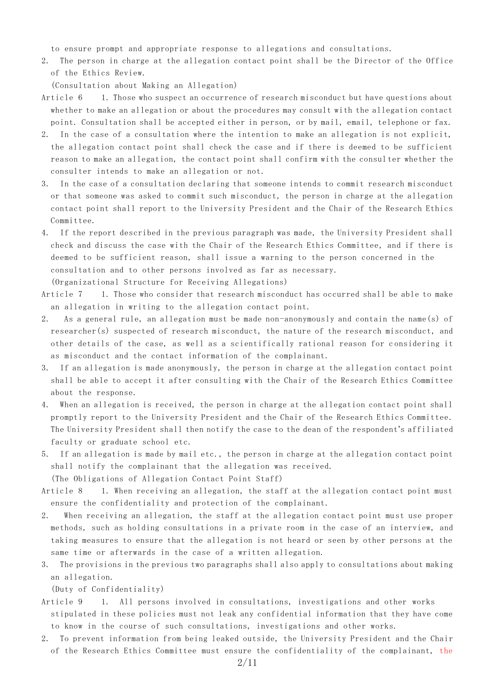to ensure prompt and appropriate response to allegations and consultations.

2. The person in charge at the allegation contact point shall be the Director of the Office of the Ethics Review.

(Consultation about Making an Allegation)

- Article 6 1. Those who suspect an occurrence of research misconduct but have questions about whether to make an allegation or about the procedures may consult with the allegation contact point. Consultation shall be accepted either in person, or by mail, email, telephone or fax.
- 2. In the case of a consultation where the intention to make an allegation is not explicit, the allegation contact point shall check the case and if there is deemed to be sufficient reason to make an allegation, the contact point shall confirm with the consul ter whether the consulter intends to make an allegation or not.
- 3. In the case of a consultation declaring that someone intends to commit research misconduct or that someone was asked to commit such misconduct, the person in charge at the allegation contact point shall report to the University President and the Chair of the Research Ethics Committee.
- 4. If the report described in the previous paragraph was made, the University President shall check and discuss the case with the Chair of the Research Ethics Committee, and if there is deemed to be sufficient reason, shall issue a warning to the person concerned in the consultation and to other persons involved as far as necessary.

(Organizational Structure for Receiving Allegations)

- Article 7 1. Those who consider that research misconduct has occurred shall be able to make an allegation in writing to the allegation contact point.
- 2. As a general rule, an allegation must be made non-anonymously and contain the name(s) of researcher(s) suspected of research misconduct, the nature of the research misconduct, and other details of the case, as well as a scientifically rational reason for c onsidering it as misconduct and the contact information of the complainant.
- 3. If an allegation is made anonymously, the person in charge at the allegation contact point shall be able to accept it after consulting with the Chair of the Research Ethics Committee about the response.
- 4. When an allegation is received, the person in charge at the allegation contact point shall promptly report to the University President and the Chair of the Research Ethics Committee. The University President shall then notify the case to the dean of the respondent's affiliated faculty or graduate school etc.
- 5. If an allegation is made by mail etc., the person in charge at the allegation contact point shall notify the complainant that the allegation was received. (The Obligations of Allegation Contact Point Staff)
- Article 8 1. When receiving an allegation, the staff at the allegation contact point must ensure the confidentiality and protection of the complainant.
- 2. When receiving an allegation, the staff at the allegation contact point must use proper methods, such as holding consultations in a private room in the case of an interview, and taking measures to ensure that the allegation is not heard or seen by other persons at the same time or afterwards in the case of a written allegation.
- 3. The provisions in the previous two paragraphs shall also apply to consultations about making an allegation.

(Duty of Confidentiality)

- Article 9 1. All persons involved in consultations, investigations and other works stipulated in these policies must not leak any confidential information that they have come to know in the course of such consultations, investigations and other works.
- 2. To prevent information from being leaked outside, the University President and the Chair of the Research Ethics Committee must ensure the confidentiality of the complainant, the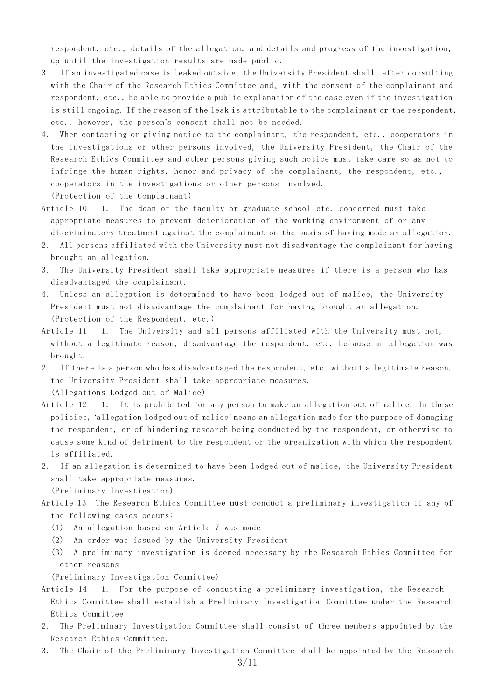respondent, etc., details of the allegation, and details and progress of the investigation, up until the investigation results are made public.

- 3. If an investigated case is leaked outside, the University President shall, after consulting with the Chair of the Research Ethics Committee and、with the consent of the complainant and respondent, etc., be able to provide a public explanation of the case even if the investigation is still ongoing. If the reason of the leak is attributable to the complainant or the respondent, etc., however, the person's consent shall not be needed.
- 4. When contacting or giving notice to the complainant, the respondent, etc., cooperators in the investigations or other persons involved, the University President, the Chair of the Research Ethics Committee and other persons giving such notice must take care so as not to infringe the human rights, honor and privacy of the complainant, the respondent, etc., cooperators in the investigations or other persons involved. (Protection of the Complainant)
- Article 10 1. The dean of the faculty or graduate school etc. concerned must take appropriate measures to prevent deterioration of the working environment of or any discriminatory treatment against the complainant on the basis of having made an allegation.
- 2. All persons affiliated with the University must not disadvantage the complainant for having brought an allegation.
- 3. The University President shall take appropriate measures if there is a person who has disadvantaged the complainant.
- 4. Unless an allegation is determined to have been lodged out of malice, the University President must not disadvantage the complainant for having brought an allegation. (Protection of the Respondent, etc.)
- Article 11 1. The University and all persons affiliated with the University must not, without a legitimate reason, disadvantage the respondent, etc. because an allegation was brought.
- 2. If there is a person who has disadvantaged the respondent, etc. without a legitimate reason, the University President shall take appropriate measures. (Allegations Lodged out of Malice)
- Article 12 1. It is prohibited for any person to make an allegation out of malice. In these policies, 'allegation lodged out of malice' means an allegation made for the purpose of damaging the respondent, or of hindering research being conducted by the respondent, or otherwise to cause some kind of detriment to the respondent or the organization with which the respondent is affiliated.
- 2. If an allegation is determined to have been lodged out of malice, the University President shall take appropriate measures. (Preliminary Investigation)
- Article 13 The Research Ethics Committee must conduct a preliminary investigation if any of the following cases occurs:
	- (1) An allegation based on Article 7 was made
	- (2) An order was issued by the University President
	- (3) A preliminary investigation is deemed necessary by the Research Ethics Committee for other reasons

(Preliminary Investigation Committee)

- Article 14 1. For the purpose of conducting a preliminary investigation, the Research Ethics Committee shall establish a Preliminary Investigation Committee under the Research Ethics Committee.
- 2. The Preliminary Investigation Committee shall consist of three members appointed by the Research Ethics Committee.
- 3. The Chair of the Preliminary Investigation Committee shall be appointed by the Research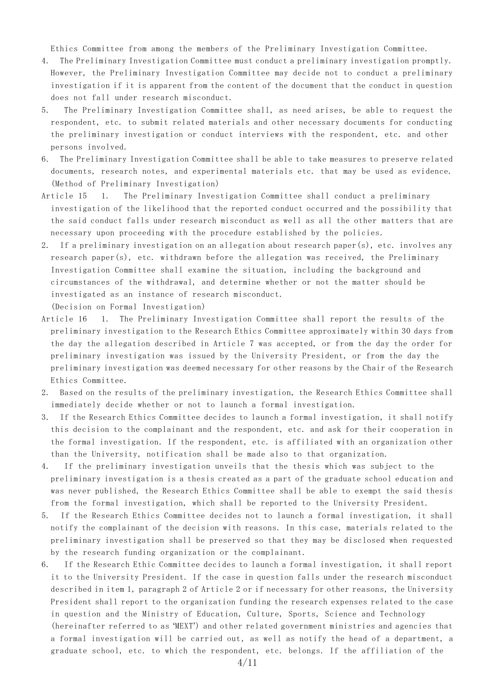Ethics Committee from among the members of the Preliminary Investigation Committee.

- 4. The Preliminary Investigation Committee must conduct a preliminary investigation promptly. However, the Preliminary Investigation Committee may decide not to conduct a preliminary investigation if it is apparent from the content of the document that the conduct in question does not fall under research misconduct.
- 5. The Preliminary Investigation Committee shall, as need arises, be able to request the respondent, etc. to submit related materials and other necessary documents for conducting the preliminary investigation or conduct interviews with the respondent, etc. and other persons involved.
- 6. The Preliminary Investigation Committee shall be able to take measures to preserve related documents, research notes, and experimental materials etc. that may be used as evidence. (Method of Preliminary Investigation)
- Article 15 1. The Preliminary Investigation Committee shall conduct a preliminary investigation of the likelihood that the reported conduct occurred and the possibility that the said conduct falls under research misconduct as well as all the other matters that are necessary upon proceeding with the procedure established by the policies.
- 2. If a preliminary investigation on an allegation about research paper(s), etc. involves any research paper(s), etc. withdrawn before the allegation was received, the Preliminary Investigation Committee shall examine the situation, including the background and circumstances of the withdrawal, and determine whether or not the matter should be investigated as an instance of research misconduct.

(Decision on Formal Investigation)

- Article 16 1. The Preliminary Investigation Committee shall report the results of the preliminary investigation to the Research Ethics Committee approximately within 30 days from the day the allegation described in Article 7 was accepted, or from the day the order for preliminary investigation was issued by the University President, or from the day the preliminary investigation was deemed necessary for other reasons by the Chair of the Research Ethics Committee.
- 2. Based on the results of the preliminary investigation, the Research Ethics Committee shall immediately decide whether or not to launch a formal investigation.
- 3. If the Research Ethics Committee decides to launch a formal investigation, it shall notify this decision to the complainant and the respondent, etc. and ask for their cooperation in the formal investigation. If the respondent, etc. is affiliated with an organization other than the University, notification shall be made also to that organization.
- 4. If the preliminary investigation unveils that the thesis which was subject to the preliminary investigation is a thesis created as a part of the graduate school education and was never published, the Research Ethics Committee shall be able to exempt the said thesis from the formal investigation, which shall be reported to the University President.
- 5. If the Research Ethics Committee decides not to launch a formal investigation, it shall notify the complainant of the decision with reasons. In this case, materials related to the preliminary investigation shall be preserved so that they may be disclosed when requested by the research funding organization or the complainant.
- 6. If the Research Ethic Committee decides to launch a formal investigation, it shall report it to the University President. If the case in question falls under the research misconduct described in item 1, paragraph 2 of Article 2 or if necessary for other reasons, the University President shall report to the organization funding the research expenses related to the case in question and the Ministry of Education, Culture, Sports, Science and Technology (hereinafter referred to as 'MEXT') and other related government ministries and agencies that a formal investigation will be carried out, as well as notify the head of a department, a

graduate school, etc. to which the respondent, etc. belongs. If the affiliation of the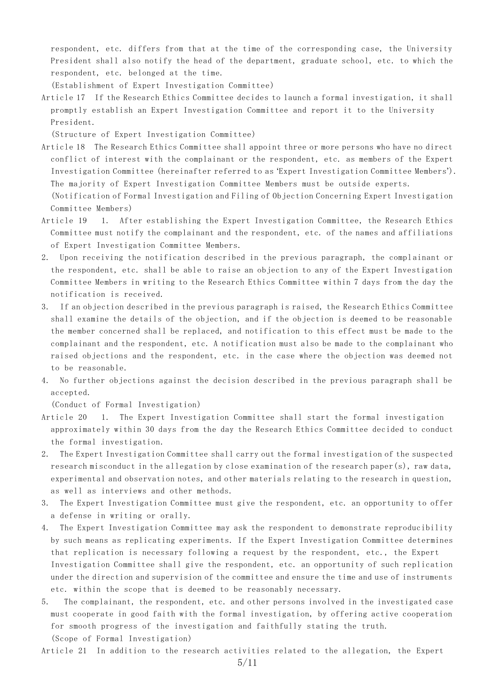respondent, etc. differs from that at the time of the corresponding case, the University President shall also notify the head of the department, graduate school, etc. to which the respondent, etc. belonged at the time.

(Establishment of Expert Investigation Committee)

Article 17 If the Research Ethics Committee decides to launch a formal investigation, it shall promptly establish an Expert Investigation Committee and report it to the University President.

(Structure of Expert Investigation Committee)

- Article 18 The Research Ethics Committee shall appoint three or more persons who have no direct conflict of interest with the complainant or the respondent, etc. as members of the Expert Investigation Committee (hereinafter referred to as 'Expert Investigation Committee Members'). The majority of Expert Investigation Committee Members must be outside experts. (Notification of Formal Investigation and Filing of Objection Concerning Expert Investigation Committee Members)
- Article 19 1. After establishing the Expert Investigation Committee, the Research Ethics Committee must notify the complainant and the respondent, etc. of the names and affiliations of Expert Investigation Committee Members.
- 2. Upon receiving the notification described in the previous paragraph, the complainant or the respondent, etc. shall be able to raise an objection to any of the Expert Investigation Committee Members in writing to the Research Ethics Committee within 7 days from the day the notification is received.
- 3. If an objection described in the previous paragraph is raised, the Research Ethics Committee shall examine the details of the objection, and if the objection is deemed to be reasonable the member concerned shall be replaced, and notification to this effect must be made to the complainant and the respondent, etc. A notification must also be made to the complainant who raised objections and the respondent, etc. in the case where the objection was deemed not to be reasonable.
- 4. No further objections against the decision described in the previous paragraph shall be accepted.

(Conduct of Formal Investigation)

- Article 20 1. The Expert Investigation Committee shall start the formal investigation approximately within 30 days from the day the Research Ethics Committee decided to conduct the formal investigation.
- 2. The Expert Investigation Committee shall carry out the formal investigation of the suspected research misconduct in the allegation by close examination of the research paper(s), raw data, experimental and observation notes, and other materials relating to the research in question, as well as interviews and other methods.
- 3. The Expert Investigation Committee must give the respondent, etc. an opportunity to offer a defense in writing or orally.
- The Expert Investigation Committee may ask the respondent to demonstrate reproducibility by such means as replicating experiments. If the Expert Investigation Committee determines that replication is necessary following a request by the respondent, etc., the Expert Investigation Committee shall give the respondent, etc. an opportunity of such replication under the direction and supervision of the committee and ensure the time and use of instruments etc. within the scope that is deemed to be reasonably necessary.
- 5. The complainant, the respondent, etc. and other persons involved in the investigated case must cooperate in good faith with the formal investigation, by offering active cooperation for smooth progress of the investigation and faithfully stating the truth. (Scope of Formal Investigation)

Article 21 In addition to the research activities related to the allegation, the Expert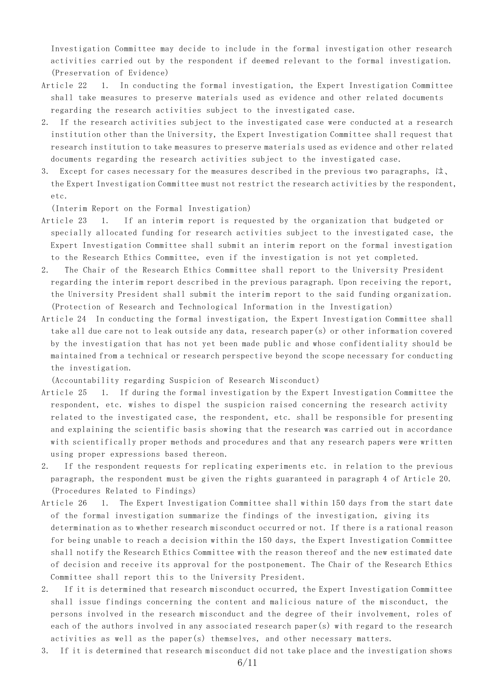Investigation Committee may decide to include in the formal investigation other research activities carried out by the respondent if deemed relevant to the formal investigation. (Preservation of Evidence)

- Article 22 1. In conducting the formal investigation, the Expert Investigation Committee shall take measures to preserve materials used as evidence and other related documents regarding the research activities subject to the investigated case.
- 2. If the research activities subject to the investigated case were conducted at a research institution other than the University, the Expert Investigation Committee shall request that research institution to take measures to preserve materials used as evidence and other related documents regarding the research activities subject to the investigated case.
- 3. Except for cases necessary for the measures described in the previous two paragraphs, は、 the Expert Investigation Committee must not restrict the research activities by the respondent, etc.

(Interim Report on the Formal Investigation)

- Article 23 1. If an interim report is requested by the organization that budgeted or specially allocated funding for research activities subject to the investigated case, the Expert Investigation Committee shall submit an interim report on the formal investigation to the Research Ethics Committee, even if the investigation is not yet completed.
- 2. The Chair of the Research Ethics Committee shall report to the University President regarding the interim report described in the previous paragraph. Upon receiving the report, the University President shall submit the interim report to the said funding organization. (Protection of Research and Technological Information in the Investigation)
- Article 24 In conducting the formal investigation, the Expert Investigation Committee shall take all due care not to leak outside any data, research paper(s) or other information covered by the investigation that has not yet been made public and whose confidentiality should be maintained from a technical or research perspective beyond the scope necessary for conducting the investigation.

(Accountability regarding Suspicion of Research Misconduct)

- Article 25 1. If during the formal investigation by the Expert Investigation Committee the respondent, etc. wishes to dispel the suspicion raised concerning the research activity related to the investigated case, the respondent, etc. shall be responsible for presenting and explaining the scientific basis showing that the research was carried out in accordance with scientifically proper methods and procedures and that any research papers were written using proper expressions based thereon.
- 2. If the respondent requests for replicating experiments etc. in relation to the previous paragraph, the respondent must be given the rights guaranteed in paragraph 4 of Article 20. (Procedures Related to Findings)
- Article 26 1. The Expert Investigation Committee shall within 150 days from the start date of the formal investigation summarize the findings of the investigation, giving its determination as to whether research misconduct occurred or not. If there is a rational reason for being unable to reach a decision within the 150 days, the Expert Investigation Committee shall notify the Research Ethics Committee with the reason thereof and the new estimated date of decision and receive its approval for the postponement. The Chair of the Research Ethics Committee shall report this to the University President.
- 2. If it is determined that research misconduct occurred, the Expert Investigation Committee shall issue findings concerning the content and malicious nature of the misconduct, the persons involved in the research misconduct and the degree of their involvement, roles of each of the authors involved in any associated research paper(s) with regard to the research activities as well as the paper(s) themselves, and other necessary matters.
- 3. If it is determined that research misconduct did not take place and the investigation shows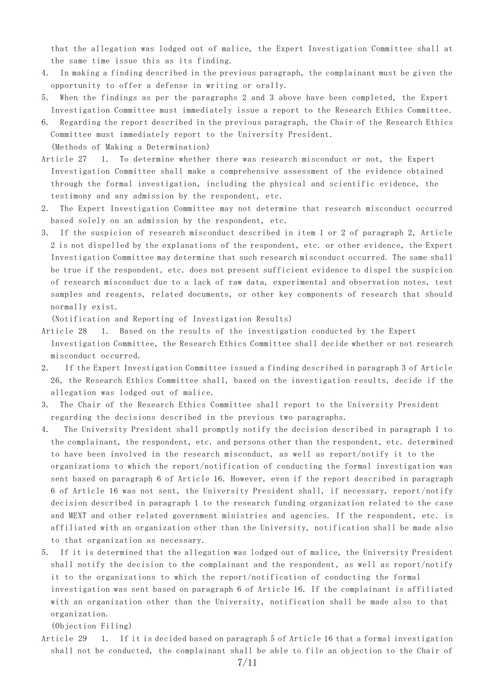that the allegation was lodged out of malice, the Expert Investigation Committee shall at the same time issue this as its finding.

- 4. In making a finding described in the previous paragraph, the complainant must be given the opportunity to offer a defense in writing or orally.
- 5. When the findings as per the paragraphs 2 and 3 above have been completed, the Expert Investigation Committee must immediately issue a report to the Research Ethics Committee.
- 6. Regarding the report described in the previous paragraph, the Chair of the Research Ethics Committee must immediately report to the University President. (Methods of Making a Determination)
- Article 27 1. To determine whether there was research misconduct or not, the Expert Investigation Committee shall make a comprehensive assessment of the evidence obtained through the formal investigation, including the physical and scientific evidence, the testimony and any admission by the respondent, etc.
- 2. The Expert Investigation Committee may not determine that research misconduct occurred based solely on an admission by the respondent, etc.
- 3. If the suspicion of research misconduct described in item 1 or 2 of paragraph 2, Article 2 is not dispelled by the explanations of the respondent, etc. or other evidence, the Expert Investigation Committee may determine that such research misconduct occurred. The same shall be true if the respondent, etc. does not present sufficient evidence to dispel the suspicion of research misconduct due to a lack of raw data, experimental and observation notes, test samples and reagents, related documents, or other key components of research that should normally exist.

(Notification and Reporting of Investigation Results)

- Article 28 1. Based on the results of the investigation conducted by the Expert Investigation Committee, the Research Ethics Committee shall decide whether or not research misconduct occurred.
- 2. If the Expert Investigation Committee issued a finding described in paragraph 3 of Article 26, the Research Ethics Committee shall, based on the investigation results, decide if the allegation was lodged out of malice.
- 3. The Chair of the Research Ethics Committee shall report to the University President regarding the decisions described in the previous two paragraphs.
- 4. The University President shall promptly notify the decision described in paragraph 1 to the complainant, the respondent, etc. and persons other than the respondent, etc. determined to have been involved in the research misconduct, as well as report/notify it to the organizations to which the report/notification of conducting the formal investigation was sent based on paragraph 6 of Article 16. However, even if the report described in paragraph 6 of Article 16 was not sent, the University President shall, if necessary, report /notify decision described in paragraph 1 to the research funding organization related to the case and MEXT and other related government ministries and agencies. If the respondent, etc. is affiliated with an organization other than the University, notification shall be made also to that organization as necessary.
- 5. If it is determined that the allegation was lodged out of malice, the University President shall notify the decision to the complainant and the respondent, as well as report/notify it to the organizations to which the report/notification of conducting the formal investigation was sent based on paragraph 6 of Article 16. If the complainant is affiliated with an organization other than the University, notification shall be made also to that organization.

(Objection Filing)

Article 29 1. If it is decided based on paragraph 5 of Article 16 that a formal investigation shall not be conducted, the complainant shall be able to file an objection to the Chair of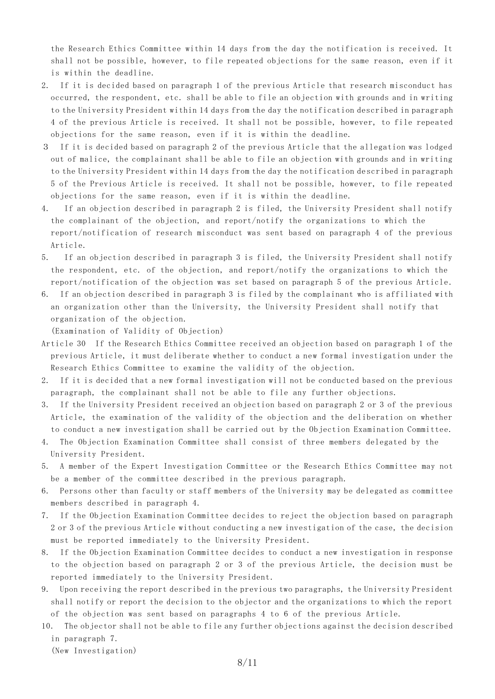the Research Ethics Committee within 14 days from the day the notification is received. It shall not be possible, however, to file repeated objections for the same reason, even if it is within the deadline.

- 2. If it is decided based on paragraph 1 of the previous Article that research misconduct has occurred, the respondent, etc. shall be able to file an objection with grounds and in writing to the University President within 14 days from the day the notification described in paragraph 4 of the previous Article is received. It shall not be possible, however, to file repeated objections for the same reason, even if it is within the deadline.
- 3 If it is decided based on paragraph 2 of the previous Article that the allegation was lodged out of malice, the complainant shall be able to file an objection with grounds and in writing to the University President within 14 days from the day the notification described in paragraph 5 of the Previous Article is received. It shall not be possible, however, to file repeated objections for the same reason, even if it is within the deadline.
- 4. If an objection described in paragraph 2 is filed, the University President shall notify the complainant of the objection, and report/notify the organizations to which the report/notification of research misconduct was sent based on paragraph 4 of the previous Article.
- 5. If an objection described in paragraph 3 is filed, the University President shall notify the respondent, etc. of the objection, and report/notify the organizations to which the report/notification of the objection was set based on paragraph 5 of the previous Article.
- 6. If an objection described in paragraph 3 is filed by the complainant who is affiliated with an organization other than the University, the University President shall notify that organization of the objection.

(Examination of Validity of Objection)

- Article 30 If the Research Ethics Committee received an objection based on paragraph 1 of the previous Article, it must deliberate whether to conduct a new formal investigation under the Research Ethics Committee to examine the validity of the objection.
- 2. If it is decided that a new formal investigation will not be conducted based on the previous paragraph, the complainant shall not be able to file any further objections.
- 3. If the University President received an objection based on paragraph 2 or 3 of the previous Article, the examination of the validity of the objection and the deliberation on whether to conduct a new investigation shall be carried out by the Objection Examination Committee.
- 4. The Objection Examination Committee shall consist of three members delegated by the University President.
- 5. A member of the Expert Investigation Committee or the Research Ethics Committee may not be a member of the committee described in the previous paragraph.
- 6. Persons other than faculty or staff members of the University may be delegated as committee members described in paragraph 4.
- 7. If the Objection Examination Committee decides to reject the objection based on paragraph 2 or 3 of the previous Article without conducting a new investigation of the case, the decision must be reported immediately to the University President.
- 8. If the Objection Examination Committee decides to conduct a new investigation in response to the objection based on paragraph 2 or 3 of the previous Article, the decision must be reported immediately to the University President.
- 9. Upon receiving the report described in the previous two paragraphs, t he University President shall notify or report the decision to the objector and the organizations to which the report of the objection was sent based on paragraphs 4 to 6 of the previous Article.
- 10. The objector shall not be able to file any further objections against the decision described in paragraph 7.

(New Investigation)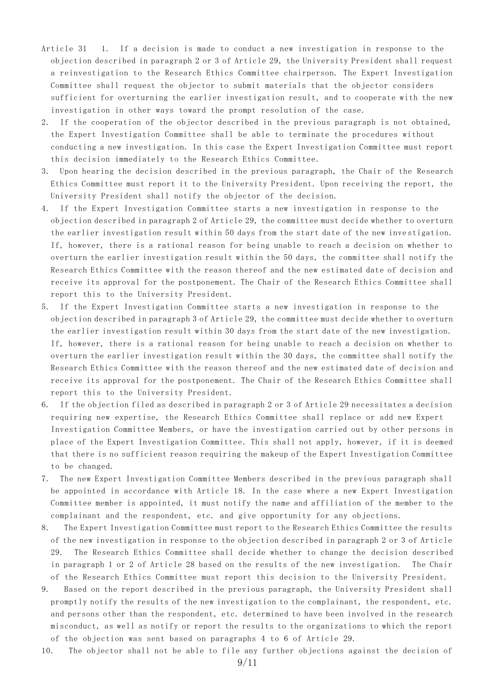- Article 31 1. If a decision is made to conduct a new investigation in response to the objection described in paragraph 2 or 3 of Article 29, the University President shall request a reinvestigation to the Research Ethics Committee chairperson. The Expert Investigation Committee shall request the objector to submit materials that the objector considers sufficient for overturning the earlier investigation result, and to cooperate with the new investigation in other ways toward the prompt resolution of the case.
- 2. If the cooperation of the objector described in the previous paragraph is not obtained, the Expert Investigation Committee shall be able to terminate the procedures without conducting a new investigation. In this case the Expert Investigation Committee must report this decision immediately to the Research Ethics Committee.
- 3. Upon hearing the decision described in the previous paragraph, the Chair of the Research Ethics Committee must report it to the University President. Upon receiving the report, the University President shall notify the objector of the decision.
- 4. If the Expert Investigation Committee starts a new investigation in response to the objection described in paragraph 2 of Article 29, the committee must decide whether to overturn the earlier investigation result within 50 days from the start date of the new inve stigation. If, however, there is a rational reason for being unable to reach a decision on whether to overturn the earlier investigation result within the 50 days, the committee shall notify the Research Ethics Committee with the reason thereof and the new estimated date of decision and receive its approval for the postponement. The Chair of the Research Ethics Committee shall report this to the University President.
- 5. If the Expert Investigation Committee starts a new investigation in response to the objection described in paragraph 3 of Article 29, the committee must decide whether to overturn the earlier investigation result within 30 days from the start date of the new investigation. If, however, there is a rational reason for being unable to reach a decision on whether to overturn the earlier investigation result within the 30 days, the committee shall notify the Research Ethics Committee with the reason thereof and the new estimated date of decision and receive its approval for the postponement. The Chair of the Research Ethics Committee shall report this to the University President.
- 6. If the objection filed as described in paragraph 2 or 3 of Article 29 necessitates a decision requiring new expertise, the Research Ethics Committee shall replace or add new Expert Investigation Committee Members, or have the investigation carried out by other persons in place of the Expert Investigation Committee. This shall not apply, however, if it is deemed that there is no sufficient reason requiring the makeup of the Expert Investigation Committee to be changed.
- 7. The new Expert Investigation Committee Members described in the previous paragraph shall be appointed in accordance with Article 18. In the case where a new Expert Investigation Committee member is appointed, it must notify the name and affiliation of the member to the complainant and the respondent, etc. and give opportunity for any objections.
- 8. The Expert Investigation Committee must report to the Research Ethics Committee the results of the new investigation in response to the objection described in paragraph 2 or 3 of Article 29. The Research Ethics Committee shall decide whether to change the decision described in paragraph 1 or 2 of Article 28 based on the results of the new investigation. The Chair of the Research Ethics Committee must report this decision to the University President.
- 9. Based on the report described in the previous paragraph, the University President shall promptly notify the results of the new investigation to the complainant, the respondent, etc. and persons other than the respondent, etc. determined to have been involved in the research misconduct, as well as notify or report the results to the organizations to which the report of the objection was sent based on paragraphs 4 to 6 of Article 29.
- 10. The objector shall not be able to file any further objections against the decision of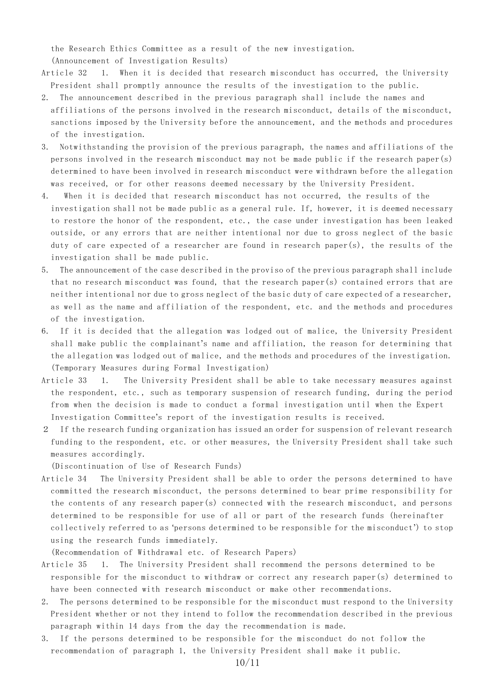the Research Ethics Committee as a result of the new investigation. (Announcement of Investigation Results)

Article 32 1. When it is decided that research misconduct has occurred, the University President shall promptly announce the results of the investigation to the public.

- 2. The announcement described in the previous paragraph shall include the names and affiliations of the persons involved in the research misconduct, details of the misconduct, sanctions imposed by the University before the announcement, and the methods and procedures of the investigation.
- 3. Notwithstanding the provision of the previous paragraph, the names and affiliations of the persons involved in the research misconduct may not be made public if the research paper(s) determined to have been involved in research misconduct were withdrawn before the allegation was received, or for other reasons deemed necessary by the University President.
- 4. When it is decided that research misconduct has not occurred, the results of the investigation shall not be made public as a general rule. If, however, it is deemed necessary to restore the honor of the respondent, etc., the case under investigation has been leaked outside, or any errors that are neither intentional nor due to gross neglect of the basic duty of care expected of a researcher are found in research paper(s), the results of the investigation shall be made public.
- 5. The announcement of the case described in the proviso of the previous paragraph shall include that no research misconduct was found, that the research paper(s) contained errors that are neither intentional nor due to gross neglect of the basic duty of care expected of a researcher, as well as the name and affiliation of the respondent, etc. and the methods and procedures of the investigation.
- 6. If it is decided that the allegation was lodged out of malice, the University President shall make public the complainant's name and affiliation, the reason for determining that the allegation was lodged out of malice, and the methods and procedures of the investigation. (Temporary Measures during Formal Investigation)
- Article 33 1. The University President shall be able to take necessary measures against the respondent, etc., such as temporary suspension of research funding, during the period from when the decision is made to conduct a formal investigation until when the Expert Investigation Committee's report of the investigation results is received.
- 2 If the research funding organization has issued an order for suspension of relevant research funding to the respondent, etc. or other measures, the University President shall take such measures accordingly.

(Discontinuation of Use of Research Funds)

Article 34 The University President shall be able to order the persons determined to have committed the research misconduct, the persons determined to bear prime responsibility for the contents of any research paper(s) connected with the research misconduct, and persons determined to be responsible for use of all or part of the research funds (hereinafter collectively referred to as 'persons determined to be responsible for the misconduct') to stop using the research funds immediately.

(Recommendation of Withdrawal etc. of Research Papers)

- Article 35 1. The University President shall recommend the persons determined to be responsible for the misconduct to withdraw or correct any research paper(s) determined to have been connected with research misconduct or make other recommendations.
- 2. The persons determined to be responsible for the misconduct must respond to the University President whether or not they intend to follow the recommendation described in the previous paragraph within 14 days from the day the recommendation is made.
- 3. If the persons determined to be responsible for the misconduct do not follow the recommendation of paragraph 1, the University President shall make it public.